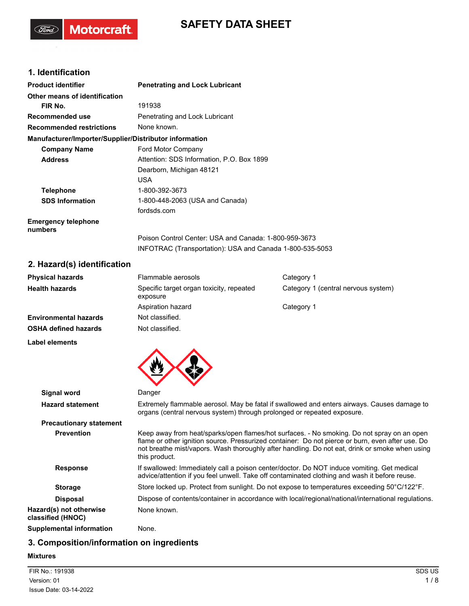## **SAFETY DATA SHEET**

## **1. Identification**

(Ford)

Motorcraft.

| <b>Product identifier</b>                              | <b>Penetrating and Lock Lubricant</b>                    |
|--------------------------------------------------------|----------------------------------------------------------|
| Other means of identification                          |                                                          |
| FIR No.                                                | 191938                                                   |
| Recommended use                                        | Penetrating and Lock Lubricant                           |
| <b>Recommended restrictions</b>                        | None known.                                              |
| Manufacturer/Importer/Supplier/Distributor information |                                                          |
| <b>Company Name</b>                                    | Ford Motor Company                                       |
| <b>Address</b>                                         | Attention: SDS Information. P.O. Box 1899                |
|                                                        | Dearborn, Michigan 48121                                 |
|                                                        | <b>USA</b>                                               |
| <b>Telephone</b>                                       | 1-800-392-3673                                           |
| <b>SDS Information</b>                                 | 1-800-448-2063 (USA and Canada)                          |
|                                                        | fordsds.com                                              |
| <b>Emergency telephone</b><br>numbers                  |                                                          |
|                                                        | Poison Control Center: USA and Canada: 1-800-959-3673    |
|                                                        | INFOTRAC (Transportation): USA and Canada 1-800-535-5053 |
| 2 Hazard/e) identification                             |                                                          |

### **2. Hazard(s) identification**

| <b>Physical hazards</b>      | Flammable aerosols                                   | Category 1                          |
|------------------------------|------------------------------------------------------|-------------------------------------|
| <b>Health hazards</b>        | Specific target organ toxicity, repeated<br>exposure | Category 1 (central nervous system) |
|                              | Aspiration hazard                                    | Category 1                          |
| <b>Environmental hazards</b> | Not classified.                                      |                                     |
| <b>OSHA defined hazards</b>  | Not classified.                                      |                                     |

**Label elements**



| <b>Signal word</b>                           | Danger                                                                                                                                                                                                                                                                                                            |
|----------------------------------------------|-------------------------------------------------------------------------------------------------------------------------------------------------------------------------------------------------------------------------------------------------------------------------------------------------------------------|
| <b>Hazard statement</b>                      | Extremely flammable aerosol. May be fatal if swallowed and enters airways. Causes damage to<br>organs (central nervous system) through prolonged or repeated exposure.                                                                                                                                            |
| <b>Precautionary statement</b>               |                                                                                                                                                                                                                                                                                                                   |
| <b>Prevention</b>                            | Keep away from heat/sparks/open flames/hot surfaces. - No smoking. Do not spray on an open<br>flame or other ignition source. Pressurized container: Do not pierce or burn, even after use. Do<br>not breathe mist/vapors. Wash thoroughly after handling. Do not eat, drink or smoke when using<br>this product. |
| <b>Response</b>                              | If swallowed: Immediately call a poison center/doctor. Do NOT induce vomiting. Get medical<br>advice/attention if you feel unwell. Take off contaminated clothing and wash it before reuse.                                                                                                                       |
| <b>Storage</b>                               | Store locked up. Protect from sunlight. Do not expose to temperatures exceeding 50°C/122°F.                                                                                                                                                                                                                       |
| <b>Disposal</b>                              | Dispose of contents/container in accordance with local/regional/national/international regulations.                                                                                                                                                                                                               |
| Hazard(s) not otherwise<br>classified (HNOC) | None known.                                                                                                                                                                                                                                                                                                       |
| <b>Supplemental information</b>              | None.                                                                                                                                                                                                                                                                                                             |

## **3. Composition/information on ingredients**

### **Mixtures**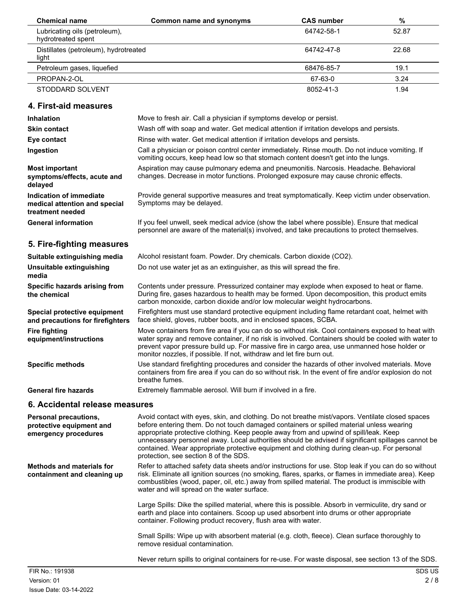| <b>Chemical name</b>                                | Common name and synonyms | <b>CAS number</b> | %     |
|-----------------------------------------------------|--------------------------|-------------------|-------|
| Lubricating oils (petroleum),<br>hydrotreated spent |                          | 64742-58-1        | 52.87 |
| Distillates (petroleum), hydrotreated<br>light      |                          | 64742-47-8        | 22.68 |
| Petroleum gases, liquefied                          |                          | 68476-85-7        | 19.1  |
| PROPAN-2-OL                                         |                          | 67-63-0           | 3.24  |
| STODDARD SOLVENT                                    |                          | 8052-41-3         | 1.94  |

## **4. First-aid measures**

| Inhalation                                                                   | Move to fresh air. Call a physician if symptoms develop or persist.                                                                                                                                                                                                                                                                                                                                                                                                                                                                 |
|------------------------------------------------------------------------------|-------------------------------------------------------------------------------------------------------------------------------------------------------------------------------------------------------------------------------------------------------------------------------------------------------------------------------------------------------------------------------------------------------------------------------------------------------------------------------------------------------------------------------------|
| <b>Skin contact</b>                                                          | Wash off with soap and water. Get medical attention if irritation develops and persists.                                                                                                                                                                                                                                                                                                                                                                                                                                            |
| Eye contact                                                                  | Rinse with water. Get medical attention if irritation develops and persists.                                                                                                                                                                                                                                                                                                                                                                                                                                                        |
| Ingestion                                                                    | Call a physician or poison control center immediately. Rinse mouth. Do not induce vomiting. If<br>vomiting occurs, keep head low so that stomach content doesn't get into the lungs.                                                                                                                                                                                                                                                                                                                                                |
| <b>Most important</b><br>symptoms/effects, acute and<br>delayed              | Aspiration may cause pulmonary edema and pneumonitis. Narcosis. Headache. Behavioral<br>changes. Decrease in motor functions. Prolonged exposure may cause chronic effects.                                                                                                                                                                                                                                                                                                                                                         |
| Indication of immediate<br>medical attention and special<br>treatment needed | Provide general supportive measures and treat symptomatically. Keep victim under observation.<br>Symptoms may be delayed.                                                                                                                                                                                                                                                                                                                                                                                                           |
| <b>General information</b>                                                   | If you feel unwell, seek medical advice (show the label where possible). Ensure that medical<br>personnel are aware of the material(s) involved, and take precautions to protect themselves.                                                                                                                                                                                                                                                                                                                                        |
| 5. Fire-fighting measures                                                    |                                                                                                                                                                                                                                                                                                                                                                                                                                                                                                                                     |
| Suitable extinguishing media                                                 | Alcohol resistant foam. Powder. Dry chemicals. Carbon dioxide (CO2).                                                                                                                                                                                                                                                                                                                                                                                                                                                                |
| Unsuitable extinguishing<br>media                                            | Do not use water jet as an extinguisher, as this will spread the fire.                                                                                                                                                                                                                                                                                                                                                                                                                                                              |
| Specific hazards arising from<br>the chemical                                | Contents under pressure. Pressurized container may explode when exposed to heat or flame.<br>During fire, gases hazardous to health may be formed. Upon decomposition, this product emits<br>carbon monoxide, carbon dioxide and/or low molecular weight hydrocarbons.                                                                                                                                                                                                                                                              |
| Special protective equipment<br>and precautions for firefighters             | Firefighters must use standard protective equipment including flame retardant coat, helmet with<br>face shield, gloves, rubber boots, and in enclosed spaces, SCBA.                                                                                                                                                                                                                                                                                                                                                                 |
| <b>Fire fighting</b><br>equipment/instructions                               | Move containers from fire area if you can do so without risk. Cool containers exposed to heat with<br>water spray and remove container, if no risk is involved. Containers should be cooled with water to<br>prevent vapor pressure build up. For massive fire in cargo area, use unmanned hose holder or<br>monitor nozzles, if possible. If not, withdraw and let fire burn out.                                                                                                                                                  |
| <b>Specific methods</b>                                                      | Use standard firefighting procedures and consider the hazards of other involved materials. Move<br>containers from fire area if you can do so without risk. In the event of fire and/or explosion do not<br>breathe fumes.                                                                                                                                                                                                                                                                                                          |
| <b>General fire hazards</b>                                                  | Extremely flammable aerosol. Will burn if involved in a fire.                                                                                                                                                                                                                                                                                                                                                                                                                                                                       |
| 6. Accidental release measures                                               |                                                                                                                                                                                                                                                                                                                                                                                                                                                                                                                                     |
| Personal precautions,<br>protective equipment and<br>emergency procedures    | Avoid contact with eyes, skin, and clothing. Do not breathe mist/vapors. Ventilate closed spaces<br>before entering them. Do not touch damaged containers or spilled material unless wearing<br>appropriate protective clothing. Keep people away from and upwind of spill/leak. Keep<br>unnecessary personnel away. Local authorities should be advised if significant spillages cannot be<br>contained. Wear appropriate protective equipment and clothing during clean-up. For personal<br>protection, see section 8 of the SDS. |
| <b>Methods and materials for</b><br>containment and cleaning up              | Refer to attached safety data sheets and/or instructions for use. Stop leak if you can do so without<br>risk. Eliminate all ignition sources (no smoking, flares, sparks, or flames in immediate area). Keep<br>combustibles (wood, paper, oil, etc.) away from spilled material. The product is immiscible with<br>water and will spread on the water surface.                                                                                                                                                                     |
|                                                                              | Large Spills: Dike the spilled material, where this is possible. Absorb in vermiculite, dry sand or<br>earth and place into containers. Scoop up used absorbent into drums or other appropriate<br>container. Following product recovery, flush area with water.                                                                                                                                                                                                                                                                    |
|                                                                              | Small Spills: Wipe up with absorbent material (e.g. cloth, fleece). Clean surface thoroughly to<br>remove residual contamination.                                                                                                                                                                                                                                                                                                                                                                                                   |
|                                                                              | Never return spills to original containers for re-use. For waste disposal, see section 13 of the SDS.                                                                                                                                                                                                                                                                                                                                                                                                                               |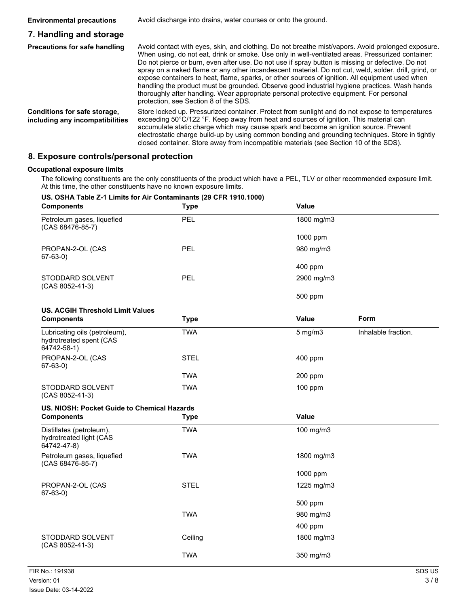#### **Environmental precautions** Avoid discharge into drains, water courses or onto the ground. **7. Handling and storage** Avoid contact with eyes, skin, and clothing. Do not breathe mist/vapors. Avoid prolonged exposure. When using, do not eat, drink or smoke. Use only in well-ventilated areas. Pressurized container: Do not pierce or burn, even after use. Do not use if spray button is missing or defective. Do not spray on a naked flame or any other incandescent material. Do not cut, weld, solder, drill, grind, or expose containers to heat, flame, sparks, or other sources of ignition. All equipment used when handling the product must be grounded. Observe good industrial hygiene practices. Wash hands thoroughly after handling. Wear appropriate personal protective equipment. For personal protection, see Section 8 of the SDS. **Precautions for safe handling** Store locked up. Pressurized container. Protect from sunlight and do not expose to temperatures exceeding 50°C/122 °F. Keep away from heat and sources of ignition. This material can accumulate static charge which may cause spark and become an ignition source. Prevent electrostatic charge build-up by using common bonding and grounding techniques. Store in tightly closed container. Store away from incompatible materials (see Section 10 of the SDS). **Conditions for safe storage, including any incompatibilities**

### **8. Exposure controls/personal protection**

#### **Occupational exposure limits**

The following constituents are the only constituents of the product which have a PEL, TLV or other recommended exposure limit. At this time, the other constituents have no known exposure limits.

### **US. OSHA Table Z-1 Limits for Air Contaminants (29 CFR 1910.1000) Components Type Value**

| Components                                                              | i y pe      | v aiue       |                     |
|-------------------------------------------------------------------------|-------------|--------------|---------------------|
| Petroleum gases, liquefied<br>(CAS 68476-85-7)                          | <b>PEL</b>  | 1800 mg/m3   |                     |
|                                                                         |             | 1000 ppm     |                     |
| PROPAN-2-OL (CAS<br>$67-63-0)$                                          | PEL         | 980 mg/m3    |                     |
|                                                                         |             | 400 ppm      |                     |
| STODDARD SOLVENT<br>(CAS 8052-41-3)                                     | <b>PEL</b>  | 2900 mg/m3   |                     |
|                                                                         |             | 500 ppm      |                     |
| <b>US. ACGIH Threshold Limit Values</b>                                 |             |              |                     |
| <b>Components</b>                                                       | <b>Type</b> | Value        | Form                |
| Lubricating oils (petroleum),<br>hydrotreated spent (CAS<br>64742-58-1) | <b>TWA</b>  | $5$ mg/m $3$ | Inhalable fraction. |
| PROPAN-2-OL (CAS<br>$67-63-0)$                                          | <b>STEL</b> | 400 ppm      |                     |
|                                                                         | TWA         | 200 ppm      |                     |
| STODDARD SOLVENT<br>(CAS 8052-41-3)                                     | <b>TWA</b>  | 100 ppm      |                     |
| US. NIOSH: Pocket Guide to Chemical Hazards                             |             |              |                     |
| <b>Components</b>                                                       | <b>Type</b> | Value        |                     |
| Distillates (petroleum),<br>hydrotreated light (CAS<br>64742-47-8)      | <b>TWA</b>  | 100 mg/m3    |                     |
| Petroleum gases, liquefied<br>(CAS 68476-85-7)                          | <b>TWA</b>  | 1800 mg/m3   |                     |
|                                                                         |             | 1000 ppm     |                     |
| PROPAN-2-OL (CAS<br>$67-63-0)$                                          | <b>STEL</b> | 1225 mg/m3   |                     |
|                                                                         |             | 500 ppm      |                     |
|                                                                         | <b>TWA</b>  | 980 mg/m3    |                     |
|                                                                         |             | 400 ppm      |                     |
| STODDARD SOLVENT<br>(CAS 8052-41-3)                                     | Ceiling     | 1800 mg/m3   |                     |
|                                                                         | <b>TWA</b>  | 350 mg/m3    |                     |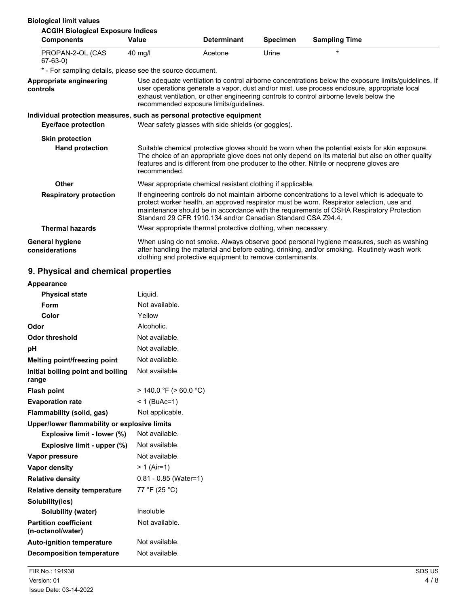| <b>Biological limit values</b>                                        |              |                                                               |                 |                                                                                                                                                                                                                                                                                                  |
|-----------------------------------------------------------------------|--------------|---------------------------------------------------------------|-----------------|--------------------------------------------------------------------------------------------------------------------------------------------------------------------------------------------------------------------------------------------------------------------------------------------------|
| <b>ACGIH Biological Exposure Indices</b>                              |              |                                                               |                 |                                                                                                                                                                                                                                                                                                  |
| <b>Components</b>                                                     | Value        | <b>Determinant</b>                                            | <b>Specimen</b> | <b>Sampling Time</b>                                                                                                                                                                                                                                                                             |
| PROPAN-2-OL (CAS<br>$67-63-0)$                                        | $40$ mg/l    | Acetone                                                       | Urine           | $\star$                                                                                                                                                                                                                                                                                          |
| * - For sampling details, please see the source document.             |              |                                                               |                 |                                                                                                                                                                                                                                                                                                  |
| Appropriate engineering<br>controls                                   |              | recommended exposure limits/quidelines.                       |                 | Use adequate ventilation to control airborne concentrations below the exposure limits/guidelines. If<br>user operations generate a vapor, dust and/or mist, use process enclosure, appropriate local<br>exhaust ventilation, or other engineering controls to control airborne levels below the  |
| Individual protection measures, such as personal protective equipment |              |                                                               |                 |                                                                                                                                                                                                                                                                                                  |
| Eye/face protection                                                   |              | Wear safety glasses with side shields (or goggles).           |                 |                                                                                                                                                                                                                                                                                                  |
| <b>Skin protection</b>                                                |              |                                                               |                 |                                                                                                                                                                                                                                                                                                  |
| <b>Hand protection</b>                                                | recommended. |                                                               |                 | Suitable chemical protective gloves should be worn when the potential exists for skin exposure.<br>The choice of an appropriate glove does not only depend on its material but also on other quality<br>features and is different from one producer to the other. Nitrile or neoprene gloves are |
| <b>Other</b>                                                          |              | Wear appropriate chemical resistant clothing if applicable.   |                 |                                                                                                                                                                                                                                                                                                  |
| <b>Respiratory protection</b>                                         |              | Standard 29 CFR 1910.134 and/or Canadian Standard CSA Z94.4.  |                 | If engineering controls do not maintain airborne concentrations to a level which is adequate to<br>protect worker health, an approved respirator must be worn. Respirator selection, use and<br>maintenance should be in accordance with the requirements of OSHA Respiratory Protection         |
| <b>Thermal hazards</b>                                                |              | Wear appropriate thermal protective clothing, when necessary. |                 |                                                                                                                                                                                                                                                                                                  |
| <b>General hygiene</b><br>considerations                              |              | clothing and protective equipment to remove contaminants.     |                 | When using do not smoke. Always observe good personal hygiene measures, such as washing<br>after handling the material and before eating, drinking, and/or smoking. Routinely wash work                                                                                                          |

# **9. Physical and chemical properties**

| <b>Appearance</b>                                 |                             |  |  |
|---------------------------------------------------|-----------------------------|--|--|
| <b>Physical state</b>                             | Liquid.                     |  |  |
| Form                                              | Not available.              |  |  |
| Color                                             | Yellow                      |  |  |
| Odor                                              | Alcoholic.                  |  |  |
| <b>Odor threshold</b>                             | Not available.              |  |  |
| рH                                                | Not available.              |  |  |
| Melting point/freezing point                      | Not available.              |  |  |
| Initial boiling point and boiling<br>range        | Not available.              |  |  |
| <b>Flash point</b>                                | $>$ 140.0 °F ( $>$ 60.0 °C) |  |  |
| <b>Evaporation rate</b>                           | $< 1$ (BuAc=1)              |  |  |
| Flammability (solid, gas)                         | Not applicable.             |  |  |
| Upper/lower flammability or explosive limits      |                             |  |  |
| <b>Explosive limit - lower (%)</b>                | Not available.              |  |  |
| Explosive limit - upper (%)                       | Not available.              |  |  |
| Vapor pressure                                    | Not available.              |  |  |
| Vapor density                                     | > 1 (Air=1)                 |  |  |
| <b>Relative density</b>                           | $0.81 - 0.85$ (Water=1)     |  |  |
| <b>Relative density temperature</b>               | 77 °F (25 °C)               |  |  |
| Solubility(ies)                                   |                             |  |  |
| Solubility (water)                                | Insoluble                   |  |  |
| <b>Partition coefficient</b><br>(n-octanol/water) | Not available.              |  |  |
| <b>Auto-ignition temperature</b>                  | Not available.              |  |  |
| <b>Decomposition temperature</b>                  | Not available.              |  |  |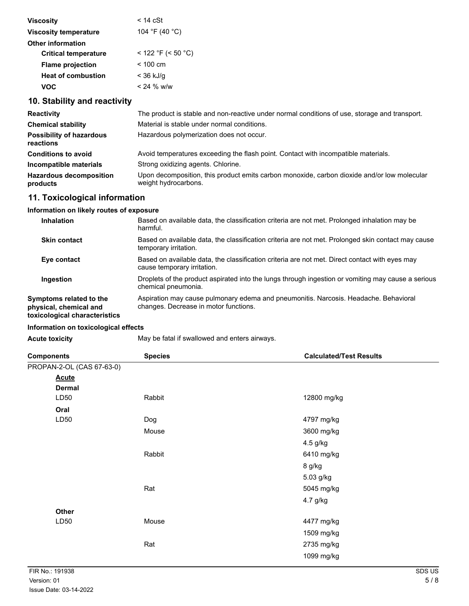| <b>Viscosity</b>             | $<$ 14 $cSt$       |
|------------------------------|--------------------|
| <b>Viscosity temperature</b> | 104 °F (40 °C)     |
| <b>Other information</b>     |                    |
| <b>Critical temperature</b>  | < 122 °F (< 50 °C) |
| <b>Flame projection</b>      | $< 100 \text{ cm}$ |
| <b>Heat of combustion</b>    | < 36 kJ/g          |
| voc                          | < 24 % w/w         |
|                              |                    |

## **10. Stability and reactivity**

| <b>Reactivity</b>                            | The product is stable and non-reactive under normal conditions of use, storage and transport.                       |
|----------------------------------------------|---------------------------------------------------------------------------------------------------------------------|
| <b>Chemical stability</b>                    | Material is stable under normal conditions.                                                                         |
| <b>Possibility of hazardous</b><br>reactions | Hazardous polymerization does not occur.                                                                            |
| <b>Conditions to avoid</b>                   | Avoid temperatures exceeding the flash point. Contact with incompatible materials.                                  |
| Incompatible materials                       | Strong oxidizing agents. Chlorine.                                                                                  |
| <b>Hazardous decomposition</b><br>products   | Upon decomposition, this product emits carbon monoxide, carbon dioxide and/or low molecular<br>weight hydrocarbons. |

## **11. Toxicological information**

## **Information on likely routes of exposure**

| <b>Inhalation</b>                                                                  | Based on available data, the classification criteria are not met. Prolonged inhalation may be<br>harmful.                     |
|------------------------------------------------------------------------------------|-------------------------------------------------------------------------------------------------------------------------------|
| <b>Skin contact</b>                                                                | Based on available data, the classification criteria are not met. Prolonged skin contact may cause<br>temporary irritation.   |
| Eye contact                                                                        | Based on available data, the classification criteria are not met. Direct contact with eyes may<br>cause temporary irritation. |
| Ingestion                                                                          | Droplets of the product aspirated into the lungs through ingestion or vomiting may cause a serious<br>chemical pneumonia.     |
| Symptoms related to the<br>physical, chemical and<br>toxicological characteristics | Aspiration may cause pulmonary edema and pneumonitis. Narcosis. Headache. Behavioral<br>changes. Decrease in motor functions. |

### **Information on toxicological effects**

| May be fatal if swallowed and enters airways.<br><b>Acute toxicity</b> |  |
|------------------------------------------------------------------------|--|
|------------------------------------------------------------------------|--|

| <b>Components</b>         | <b>Species</b> | <b>Calculated/Test Results</b> |
|---------------------------|----------------|--------------------------------|
| PROPAN-2-OL (CAS 67-63-0) |                |                                |
| <b>Acute</b>              |                |                                |
| <b>Dermal</b>             |                |                                |
| LD50                      | Rabbit         | 12800 mg/kg                    |
| Oral                      |                |                                |
| LD50                      | Dog            | 4797 mg/kg                     |
|                           | Mouse          | 3600 mg/kg                     |
|                           |                | 4.5 g/kg                       |
|                           | Rabbit         | 6410 mg/kg                     |
|                           |                | 8 g/kg                         |
|                           |                | 5.03 g/kg                      |
|                           | Rat            | 5045 mg/kg                     |
|                           |                | 4.7 g/kg                       |
| Other                     |                |                                |
| LD50                      | Mouse          | 4477 mg/kg                     |
|                           |                | 1509 mg/kg                     |
|                           | Rat            | 2735 mg/kg                     |
|                           |                | 1099 mg/kg                     |
|                           |                |                                |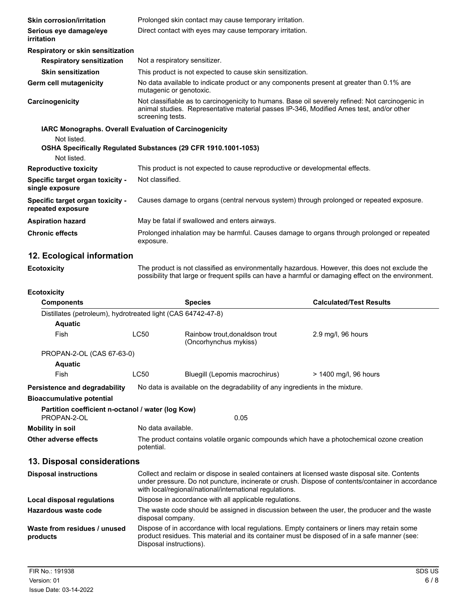| <b>Skin corrosion/irritation</b>                      | Prolonged skin contact may cause temporary irritation.                                                                                                                                                          |
|-------------------------------------------------------|-----------------------------------------------------------------------------------------------------------------------------------------------------------------------------------------------------------------|
| Serious eye damage/eye<br>irritation                  | Direct contact with eyes may cause temporary irritation.                                                                                                                                                        |
| Respiratory or skin sensitization                     |                                                                                                                                                                                                                 |
| <b>Respiratory sensitization</b>                      | Not a respiratory sensitizer.                                                                                                                                                                                   |
| <b>Skin sensitization</b>                             | This product is not expected to cause skin sensitization.                                                                                                                                                       |
| Germ cell mutagenicity                                | No data available to indicate product or any components present at greater than 0.1% are<br>mutagenic or genotoxic.                                                                                             |
| Carcinogenicity                                       | Not classifiable as to carcinogenicity to humans. Base oil severely refined: Not carcinogenic in<br>animal studies. Representative material passes IP-346, Modified Ames test, and/or other<br>screening tests. |
|                                                       | IARC Monographs. Overall Evaluation of Carcinogenicity                                                                                                                                                          |
| Not listed.                                           |                                                                                                                                                                                                                 |
|                                                       | OSHA Specifically Regulated Substances (29 CFR 1910.1001-1053)                                                                                                                                                  |
| Not listed.                                           |                                                                                                                                                                                                                 |
| <b>Reproductive toxicity</b>                          | This product is not expected to cause reproductive or developmental effects.                                                                                                                                    |
| Specific target organ toxicity -<br>single exposure   | Not classified.                                                                                                                                                                                                 |
| Specific target organ toxicity -<br>repeated exposure | Causes damage to organs (central nervous system) through prolonged or repeated exposure.                                                                                                                        |
| <b>Aspiration hazard</b>                              | May be fatal if swallowed and enters airways.                                                                                                                                                                   |
| <b>Chronic effects</b>                                | Prolonged inhalation may be harmful. Causes damage to organs through prolonged or repeated<br>exposure.                                                                                                         |
| 12 Ecological information                             |                                                                                                                                                                                                                 |

## **12. Ecological information**

The product is not classified as environmentally hazardous. However, this does not exclude the possibility that large or frequent spills can have a harmful or damaging effect on the environment. **Ecotoxicity**

| <b>Ecotoxicity</b> |  |
|--------------------|--|
|--------------------|--|

| ᄄᄖᅛᄭᄖ                                                            |                                                                                                                                                                                                                                                               |                                                                                                                                                                                             |                                |  |
|------------------------------------------------------------------|---------------------------------------------------------------------------------------------------------------------------------------------------------------------------------------------------------------------------------------------------------------|---------------------------------------------------------------------------------------------------------------------------------------------------------------------------------------------|--------------------------------|--|
| <b>Components</b>                                                |                                                                                                                                                                                                                                                               | <b>Species</b>                                                                                                                                                                              | <b>Calculated/Test Results</b> |  |
| Distillates (petroleum), hydrotreated light (CAS 64742-47-8)     |                                                                                                                                                                                                                                                               |                                                                                                                                                                                             |                                |  |
| <b>Aquatic</b>                                                   |                                                                                                                                                                                                                                                               |                                                                                                                                                                                             |                                |  |
| Fish                                                             | <b>LC50</b>                                                                                                                                                                                                                                                   | Rainbow trout, donaldson trout<br>(Oncorhynchus mykiss)                                                                                                                                     | 2.9 mg/l, 96 hours             |  |
| PROPAN-2-OL (CAS 67-63-0)                                        |                                                                                                                                                                                                                                                               |                                                                                                                                                                                             |                                |  |
| <b>Aquatic</b>                                                   |                                                                                                                                                                                                                                                               |                                                                                                                                                                                             |                                |  |
| Fish                                                             | <b>LC50</b>                                                                                                                                                                                                                                                   | Bluegill (Lepomis macrochirus)                                                                                                                                                              | > 1400 mg/l, 96 hours          |  |
| Persistence and degradability                                    | No data is available on the degradability of any ingredients in the mixture.                                                                                                                                                                                  |                                                                                                                                                                                             |                                |  |
| <b>Bioaccumulative potential</b>                                 |                                                                                                                                                                                                                                                               |                                                                                                                                                                                             |                                |  |
| Partition coefficient n-octanol / water (log Kow)<br>PROPAN-2-OL |                                                                                                                                                                                                                                                               | 0.05                                                                                                                                                                                        |                                |  |
| <b>Mobility in soil</b>                                          | No data available.                                                                                                                                                                                                                                            |                                                                                                                                                                                             |                                |  |
| Other adverse effects                                            | The product contains volatile organic compounds which have a photochemical ozone creation<br>potential.                                                                                                                                                       |                                                                                                                                                                                             |                                |  |
| 13. Disposal considerations                                      |                                                                                                                                                                                                                                                               |                                                                                                                                                                                             |                                |  |
| <b>Disposal instructions</b>                                     | Collect and reclaim or dispose in sealed containers at licensed waste disposal site. Contents<br>under pressure. Do not puncture, incinerate or crush. Dispose of contents/container in accordance<br>with local/regional/national/international regulations. |                                                                                                                                                                                             |                                |  |
| Local disposal regulations                                       | Dispose in accordance with all applicable regulations.                                                                                                                                                                                                        |                                                                                                                                                                                             |                                |  |
| Hazardous waste code                                             | The waste code should be assigned in discussion between the user, the producer and the waste<br>disposal company.                                                                                                                                             |                                                                                                                                                                                             |                                |  |
| Waste from residues / unused<br>products                         | Disposal instructions).                                                                                                                                                                                                                                       | Dispose of in accordance with local regulations. Empty containers or liners may retain some<br>product residues. This material and its container must be disposed of in a safe manner (see: |                                |  |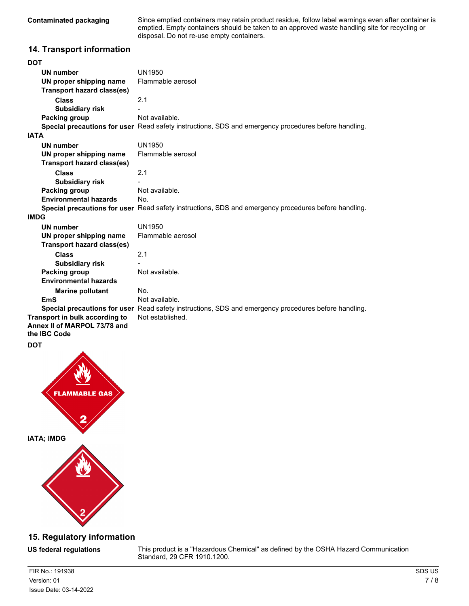**Contaminated packaging**

Since emptied containers may retain product residue, follow label warnings even after container is emptied. Empty containers should be taken to an approved waste handling site for recycling or disposal. Do not re-use empty containers.

### **14. Transport information**

| <b>DOT</b>                                   |                                                                                                      |
|----------------------------------------------|------------------------------------------------------------------------------------------------------|
| UN number                                    | <b>UN1950</b>                                                                                        |
| UN proper shipping name                      | Flammable aerosol                                                                                    |
| Transport hazard class(es)                   |                                                                                                      |
| Class                                        | 2.1                                                                                                  |
| <b>Subsidiary risk</b>                       |                                                                                                      |
| Packing group                                | Not available.                                                                                       |
|                                              | Special precautions for user Read safety instructions, SDS and emergency procedures before handling. |
| <b>IATA</b>                                  |                                                                                                      |
| <b>UN number</b>                             | UN1950                                                                                               |
| UN proper shipping name                      | Flammable aerosol                                                                                    |
| <b>Transport hazard class(es)</b>            |                                                                                                      |
| Class                                        | 2.1                                                                                                  |
| <b>Subsidiary risk</b>                       |                                                                                                      |
| <b>Packing group</b>                         | Not available.                                                                                       |
| <b>Environmental hazards</b>                 | No.                                                                                                  |
|                                              | Special precautions for user Read safety instructions, SDS and emergency procedures before handling. |
| <b>IMDG</b>                                  |                                                                                                      |
| <b>UN number</b>                             | UN1950                                                                                               |
| UN proper shipping name                      | Flammable aerosol                                                                                    |
| <b>Transport hazard class(es)</b>            |                                                                                                      |
| <b>Class</b>                                 | 2.1                                                                                                  |
| <b>Subsidiary risk</b>                       |                                                                                                      |
| <b>Packing group</b>                         | Not available.                                                                                       |
| <b>Environmental hazards</b>                 |                                                                                                      |
| <b>Marine pollutant</b>                      | No.                                                                                                  |
| EmS                                          | Not available.                                                                                       |
|                                              | Special precautions for user Read safety instructions, SDS and emergency procedures before handling. |
| Transport in bulk according to               | Not established.                                                                                     |
| Annex II of MARPOL 73/78 and<br>the IBC Code |                                                                                                      |

**DOT**



## **15. Regulatory information**

**US federal regulations**

This product is a "Hazardous Chemical" as defined by the OSHA Hazard Communication Standard, 29 CFR 1910.1200.